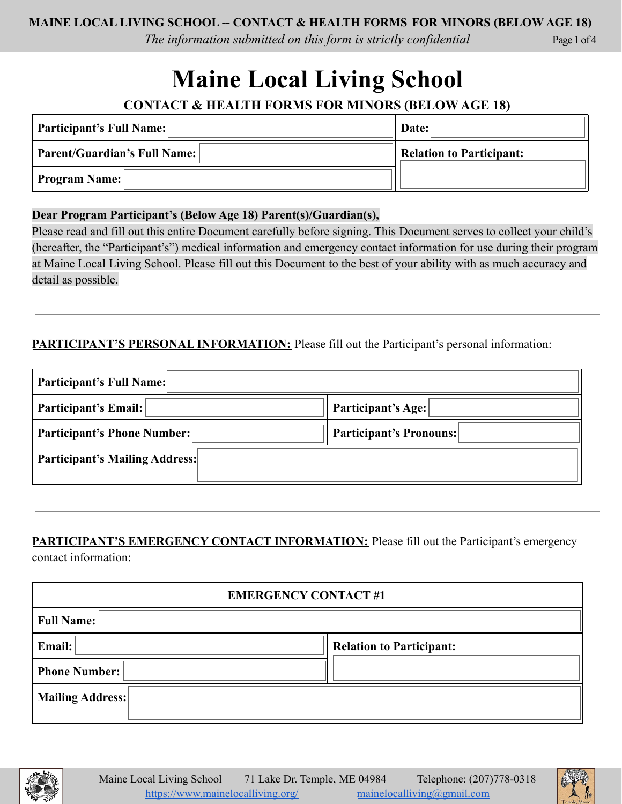*The information submitted on this form is strictly confidential*

Page 1 of 4

# **Maine Local Living School**

**CONTACT & HEALTH FORMS FOR MINORS (BELOW AGE 18)**

| <b>Participant's Full Name:</b> | Date:                    |  |  |
|---------------------------------|--------------------------|--|--|
| Parent/Guardian's Full Name:    | Relation to Participant: |  |  |
| <b>Program Name:</b>            |                          |  |  |

### **Dear Program Participant's (Below Age 18) Parent(s)/Guardian(s),**

Please read and fill out this entire Document carefully before signing. This Document serves to collect your child's (hereafter, the "Participant's") medical information and emergency contact information for use during their program at Maine Local Living School. Please fill out this Document to the best of your ability with as much accuracy and detail as possible.

## **PARTICIPANT'S PERSONAL INFORMATION:** Please fill out the Participant's personal information:

| <b>Participant's Full Name:</b>       |                                |  |
|---------------------------------------|--------------------------------|--|
| Participant's Email:                  | Participant's Age:             |  |
| <b>Participant's Phone Number:</b>    | <b>Participant's Pronouns:</b> |  |
| <b>Participant's Mailing Address:</b> |                                |  |

# **PARTICIPANT'S EMERGENCY CONTACT INFORMATION:** Please fill out the Participant's emergency

contact information:

| <b>EMERGENCY CONTACT#1</b> |                                 |  |
|----------------------------|---------------------------------|--|
| <b>Full Name:</b>          |                                 |  |
| Email:                     | <b>Relation to Participant:</b> |  |
| <b>Phone Number:</b>       |                                 |  |
| <b>Mailing Address:</b>    |                                 |  |



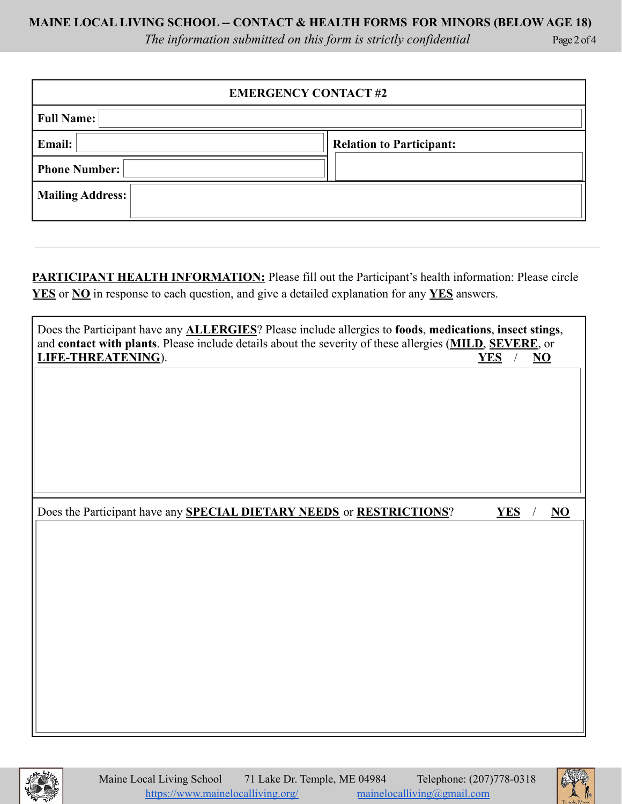*The information submitted on this form is strictly confidential*

| <b>EMERGENCY CONTACT#2</b> |                                 |  |
|----------------------------|---------------------------------|--|
| <b>Full Name:</b>          |                                 |  |
| Email:                     | <b>Relation to Participant:</b> |  |
| <b>Phone Number:</b>       |                                 |  |
| <b>Mailing Address:</b>    |                                 |  |

**PARTICIPANT HEALTH INFORMATION:** Please fill out the Participant's health information: Please circle **YES** or **NO** in response to each question, and give a detailed explanation for any **YES** answers.

| Does the Participant have any <b>ALLERGIES</b> ? Please include allergies to foods, medications, insect stings,<br>and contact with plants. Please include details about the severity of these allergies (MILD, SEVERE, or<br>LIFE-THREATENING). | $\square$ YES<br>$/ \Box$ NO |
|--------------------------------------------------------------------------------------------------------------------------------------------------------------------------------------------------------------------------------------------------|------------------------------|
|                                                                                                                                                                                                                                                  |                              |
|                                                                                                                                                                                                                                                  |                              |
|                                                                                                                                                                                                                                                  |                              |
| Does the Participant have any <b>SPECIAL DIETARY NEEDS</b> or <b>RESTRICTIONS</b> ?                                                                                                                                                              | $\square$ YES<br>$/ \Box$ NO |
|                                                                                                                                                                                                                                                  |                              |
|                                                                                                                                                                                                                                                  |                              |
|                                                                                                                                                                                                                                                  |                              |
|                                                                                                                                                                                                                                                  |                              |
|                                                                                                                                                                                                                                                  |                              |
|                                                                                                                                                                                                                                                  |                              |





Page 2 of 4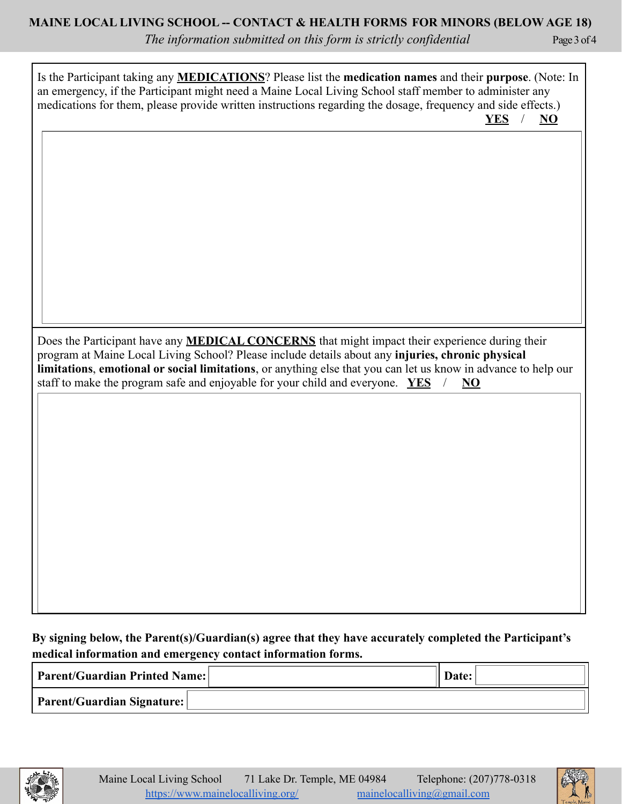*The information submitted on this form is strictly confidential*

Page 3 of 4

Is the Participant taking any **MEDICATIONS**? Please list the **medication names** and their **purpose**. (Note: In an emergency, if the Participant might need a Maine Local Living School staff member to administer any medications for them, please provide written instructions regarding the dosage, frequency and side effects.)  $\Box$  **YES** /  $\Box$  **NO** 

Does the Participant have any **MEDICAL CONCERNS** that might impact their experience during their program at Maine Local Living School? Please include details about any **injuries, chronic physical limitations**, **emotional or social limitations**, or anything else that you can let us know in advance to help our staff to make the program safe and enjoyable for your child and everyone.  $\Box YES$  /  $\Box NO$ 

## **By signing below, the Parent(s)/Guardian(s) agree that they have accurately completed the Participant's medical information and emergency contact information forms.**

| <b>Parent/Guardian Printed Name:</b> | Date: |  |
|--------------------------------------|-------|--|
| Parent/Guardian Signature:           |       |  |